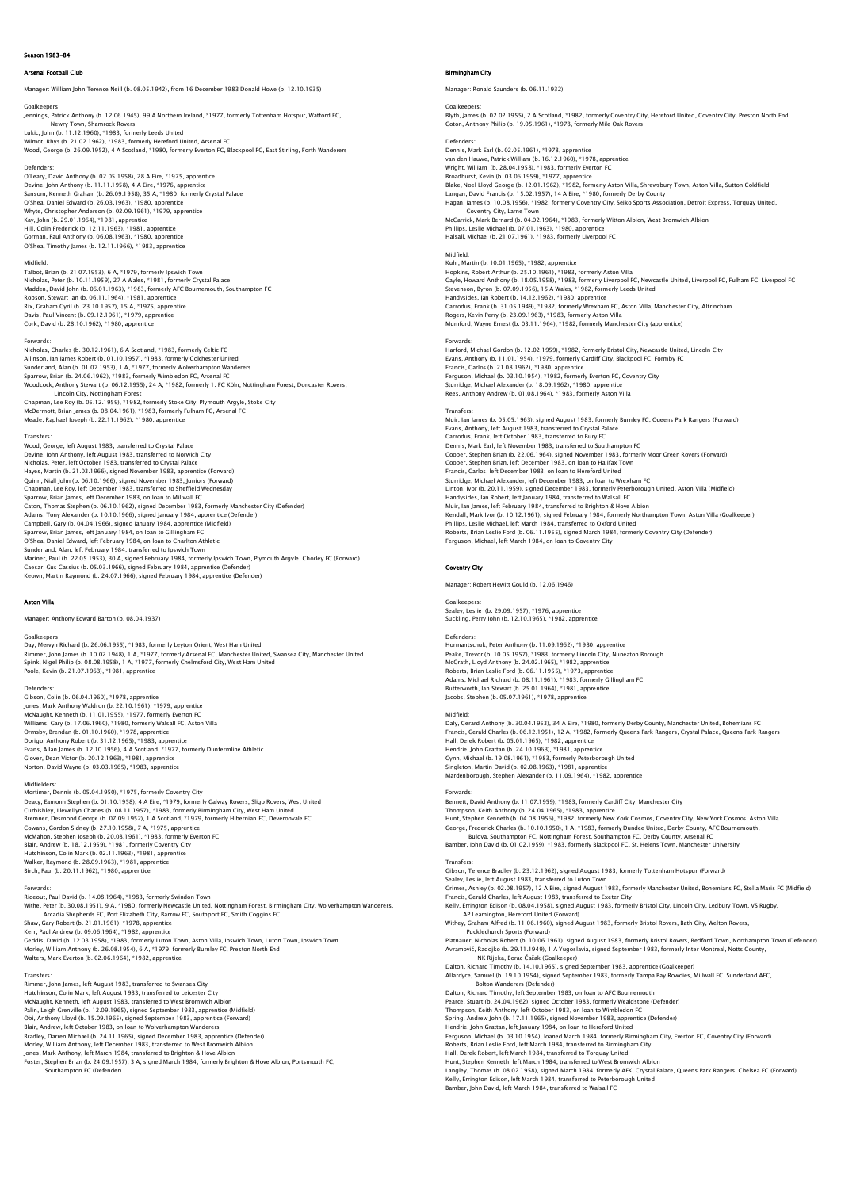# on 1983-84

## al Football Club

Manager: William John Terence Neill (b. 08.05.1942), from 16 December 1983 Donald Howe (b. 12.10.1935)

# Goalkeepers: Jennings, Patrick Anthony (b. 12.06.1945), 99 A Northern Ireland, \*1977, formerly Tottenham Hotspur, Watford FC, Newry Town, Shamrock Rovers Lukic, John (b. 11.12.1960), \*1983, formerly Leeds United

Wilmot, Rhys (b. 21.02.1962), \*1983, formerly Hereford United, Arsenal FC Wood, George (b. 26.09.1952), 4 A Scotland, \*1980, formerly Everton FC, Blackpool FC, East Stirling, Forth Wanderers

Defenders: O'Leary, David Anthony (b. 02.05.1958), 28 A Eire, \*1975, apprentice<br>Devine, John Anthony (b. 11.11.1958), 4 A Eire, \*1976, apprentice<br>Sansom, Kenneth Graham (b. 26.09.1958), 35 A, \*1980, formerly Crystal Palace<br>O'Shea, Da Whyte, Christopher Anderson (b. 02.09.1961), \*1979, apprentice Kay, John (b. 29.01.1964), \*1981, apprentice Hill, Colin Frederick (b. 12.11.1963), \*1981, apprentice Gorman, Paul Anthony (b. 06.08.1963), \*1980, apprentice O'Shea, Timothy James (b. 12.11.1966), \*1983, apprentice

### Midfield:

Talbot, Brian (b. 21.07.1953), 6 A, \*1979, formerly Ipswich Town<br>Nicholas, Peter (b. 10.11.1959), 27 A Wales, \*1981, formerly Crystal Palace<br>Madden, David John (b. 06.01.1963), \*1983, formerly AFC Bournemouth, Southampton Robson, Stewart Ian (b. 06.11.1964), \*1981, apprentice Rix, Graham Cyril (b. 23.10.1957), 15 A, \*1975, apprentice Davis, Paul Vincent (b. 09.12.1961), \*1979, apprentice Cork, David (b. 28.10.1962), \*1980, apprentice

Forwards: Nicholas, Charles (b. 30.12.1961), 6 A Scotland, \*1983, formerly Celtic FC Allinson, Ian James Robert (b. 01.10.1957), \*1983, formerly Colchester United<br>Sunderland, Alan (b. 01.0.7.1953), 1 A, \*1977, formerly Wolverhampton Wanderers<br>Sparrow, Brian (b. 24.06.1962), \*1983, formerly Wimbledon FC, Ar Lincoln City, Nottingham Forest Chapman, Lee Roy (b. 05.12.1959), \*1982, formerly Stoke City, Plymouth Argyle, Stoke City McDermott, Brian James (b. 08.04.1961), \*1983, formerly Fulham FC, Arsenal FC Meade, Raphael Joseph (b. 22.11.1962), \*1980, apprentice

### Transfers:

Wood, George, left August 1983, transferred to Crystal Palace Devine, John Anthony, left August 1983, transferred to Norwich City Nicholas, Peter, left October 1983, transferred to Crystal Palace Hayes, Martin (b. 21.03.1966), signed November 1983, apprentice (Forward)<br>Quinn, Niall John (b. 06.10.1966), signed November 1983, Juniors (Forward)<br>Chapman, Lee Roy, left December 1983, transferred to Sheffield Wednesday Sparrow, Brian James, left December 1983, on loan to Millwall FC<br>Caton, Thomas Stephen (b. 06.10.1962), signed December 1983, formerly Manchester City (Defender)<br>Adams, Tony Alexander (b. 10.10.1966), signed January 1984,

## Aston Villa

Manager: Anthony Edward Barton (b. 08.04.1937)

Goalkeepers:<br>Day, Mervyn Richard (b. 26.06.1955), \*1983, formerly Leyton Orient, West Ham United<br>Rimmer, John James (b. 10.02.1948), 1 A, \*1977, formerly Arsenal FC, Manchester United, Swansea City, Manchester United<br>Spink Poole, Kevin (b. 21.07.1963), \*1981, apprentice

Defenders:<br>Gibson, Colin (b. 06.04.1960), \*1978, apprentice<br>Jones, Mark Anthony Waldron (b. 22.10.1961), \*1979, apprentice<br>McNaught, Kenneth (b. 11.01.1955), \*1977, formerly Everton FC Williams, Gary (b. 17.06.1960), \*1980, formerly Walsall FC, Aston Villa<br>Ormsby, Brendan (b. 01.10.1960), \*1978, apprentice<br>Dorigo, Anthony Robert (b. 31.12.1965), \*1983, apprentice<br>Evans, Allan James (b. 12.10.1956), 4 A S Norton, David Wayne (b. 03.03.1965), \*1983, apprentice

# **Midfielder**

Mortimer, Dennis (b. 05.04.1950), \*1975, formerly Coventry City Deacy, Eamonn Stephen (b. 01.10.1958), 4 A Eire, \*1979, formerly Galway Rovers, Sligo Rovers, West United Curbishley, Llewellyn Charles (b. 08.11.1957), \*1983, formerly Birmingham City, West Ham United<br>Bremner, Desmond George (b. 07.09.1952), 1 A Scotland, \*1979, formerly Hibernian FC, Deveronvale FC<br>Cowans, Gordon Sidney (b. Hutchinson, Colin Mark (b. 02.11.1963), \*1981, apprentice Walker, Raymond (b. 28.09.1963), \*1981, apprentice Birch, Paul (b. 20.11.1962), \*1980, apprentice

# Forwards:

Rideout, Paul David (b. 14.08.1964), \*1983, formerly Swindon Town Withe, Peter (b. 30.08.1951), 9 A, \*1980, formerly Newcastle United, Nottingham Forest, Birmingham City, Wolverhampton Wanderers,<br>Arcadia Shepherds FC, Port Elizabeth City, Barrow FC, Southport FC, Smith Coggins FC<br>Shaw, G Geddis, David (b. 12.03.1958), \*1983, formerly Luton Town, Aston Villa, Ipswich Town, Luton Town, Ipswich Town Morley, William Anthony (b. 26.08.1954), 6 A, \*1979, formerly Burnley FC, Preston North End walters, Mark Everton (b. 02.06.1964), \*1982, apprentice of the Everton (b. 02.06.1964), \*1982, appre

Transfers: Rimmer, John James, left August 1983, transferred to Swansea City Hutchinson, Colin Mark, left August 1983, transferred to Leicester City<br>McNaught, Kenneth, left August 1983, transferred to West Bromwich Albion<br>Palin, Leigh Grenville (b. 12.09.1965), signed September 1983, apprentice (Mi Bradley, Darren Michael (b. 24.11.1965), signed December 1983, apprentice (Defender) Morley, William Anthony, left December 1983, transferred to West Bromwich Albion<br>Jones, Mark Anthony, left March 1984, transferred to Brighton & Hove Albion<br>Foster, Stephen Brian (b. 24.09.1957), 3 A, signed March 1984, fo

# Birmingham City

Manager: Ronald Saunders (b. 06.11.1932)

Goalkeepers:<br>Blyth, James (b. 02.02.1955), 2 A Scotland, \*1982, formerly Coventry City, Hereford United, Coventry City, Preston North Enc<br>Coton, Anthony Philip (b. 19.05.1961), \*1978, formerly Mile Oak Rovers

Defenders: Dennis, Mark Earl (b. 02.05.1961), \*1978, apprentice van den Hauwe, Patrick William (b. 16.12.1960), \*1978, apprentice Wright, William (b. 28.04.1958), \*1983, formerly Everton FC Broadhurst, Kevin (b. 03.06.1959), \*1977, apprentice<br>Blake, Noel Lloyd George (b. 12.01.1962), \*1982, formerly Aston Villa, Shrewsbury Town, Aston Villa, Sutton Coldfield<br>Langan, David Francis (b. 15.02.1957), 14 A Eire, \* Coventry City, Larne Town McCarrick, Mark Bernard (b. 04.02.1964), \*1983, formerly Witton Albion, West Bromwich Albion Phillips, Leslie Michael (b. 07.01.1963), \*1980, apprentice Halsall, Michael (b. 21.07.1961), \*1983, formerly Liverpool FC

# Midfield:

Kuhl, Martin (b. 10.01.1965), \*1982, apprentice<br>Hopkins, Robert Arthur (b. 25.10.1961), \*1983, formerly Aston Villa<br>Gayle, Howard Anthony (b. 18.05.1958), \*1983, formerly Liverpool FC, Newcastle United, Liverpool FC, Fulha Handysides, Ian Robert (b. 14.12.1962), \*1980, apprentice Carrodus, Frank (b. 31.05.1949), \*1982, formerly Wrexham FC, Aston Villa, Manchester City, Altrincham Rogers, Kevin Perry (b. 23.09.1963), \*1983, formerly Aston Villa Mumford, Wayne Ernest (b. 03.11.1964), \*1982, formerly Manchester City (apprentice) Forward:

Harford, Michael Gordon (b. 12.02.1959), \*1982, formerly Bristol City, Newcastle United, Lincoln City Evans, Anthony (b. 11.01.1954), \*1979, formerly Cardiff City, Blackpool FC, Formby FC<br>Francis, Carlos (b. 21.08.1962), \*1970, apprentice<br>Ferguson, Michael (b. 03.10.1954), \*1982, formerly Everton FC, Coventry City<br>Sturridg

### Transfers:

Muir, Ian James (b. 05.05.1963), signed August 1983, formerly Burnley FC, Queens Park Rangers (Forward)<br>Evans, Anthony, Ieft August 1983, transferred to Crystal Palace<br>Carrodus, Frank, Ieft October 1983, transferred to Bur Dennis, Mark Earl, left November 1983, transferred to Southampton FC Cooper, Stephen Brian (b. 22.06.1964), signed November 1983, formerly Moor Green Rovers (Forward)<br>Cooper, Stephen Brian, left December 1983, on loan to Halifax Town<br>Francis, Carlos, left December 1983, on loan to Hereford Linton, Ivor (b. 20.11.1959), signed December 1983, formerly Peterborough United, Aston Villa (Midfield) Handysides, Ian Robert, left January 1984, transferred to Walsall FC<br>Muir, lan James, left February 1984, transferred to Brighton & Hove Albion<br>Kendall, Mark Ivor (b. 10.12.1961), signed February 1984, formerly Northampton

## Coventry City

Manager: Robert Hewitt Gould (b. 12.06.1946)

Goalkeepers: Sealey, Leslie (b. 29.09.1957), \*1976, apprentice Suckling, Perry John (b. 12.10.1965), \*1982, apprentice

# Defenders:

Hormantschuk, Peter Anthony (b. 11.09.1962), \*1980, apprentice<br>Peake, Trevor (b. 10.05.1957), \*1983, formerly Lincoln City, Nuneaton Borough<br>MCGrath, Lloyd Anthony (b. 24.02.1965), \*1982, apprentice<br>Roberts, Brian Leslie F Adams, Michael Richard (b. 08.11.1961), \*1983, formerly Gillingham FC Butterworth, Ian Stewart (b. 25.01.1964), \*1981, apprentice Jacobs, Stephen (b. 05.07.1961), \*1978, apprentice

### Midfield:

Daly, Gerard Anthony (b. 30.04.1953), 34 A Eire, \*1980, formerly Derby County, Manchester United, Bohemians FC<br>Francis, Gerald Charles (b. 06.12.1951), 12 A, \*1982, formerly Queens Park Rangers, Crystal Palace, Queens Park Singleton, Martin David (b. 02.08.1963), \*1981, apprentice Mardenborough, Stephen Alexander (b. 11.09.1964), \*1982, apprentice Forwards: Bennett, David Anthony (b. 11.07.1959), \*1983, formerly Cardiff City, Manchester City

Thompson, Keith Anthony (b. 24.04.1965), \*1983, apprentice<br>Hunt, Stephen Kenneth (b. 04.08.1956), \*1982, formerly New York Cosmos, Coventry City, New York Cosmos, Aston Villa<br>Ceorge, Frederick Charles (b. 10.10.1950), 1 A,

# Transfers:

Gibson, Terence Bradley (b. 23.12.1962), signed August 1983, formerly Tottenham Hotspur (Forward)<br>Sealey, Leslie, left August 1983, transferred to Luton Town<br>Grimes, Ashley (b. 02.08.1957), 12 A Eire, signed August 1983, f Francis, Gerald Charles, left August 1983, transferred to Exeter City Kelly, Errington Edison (b. 08.04.1958), signed August 1983, formerly Bristol City, Lincoln City, Ledbury Town, VS Rugby,<br>AP Leamington, Hereford United (Forward)<br>Withey, Graham Alfred (b. 11.06.1960), signed August 1983, Platnauer, Nicholas Robert (b. 10.06.1961), signed August 1983, formerly Bristol Rovers, Bedford Town, Northampton Town (Defender) Avramović, Radojko (b. 29.11.1949), 1 A Yugoslavia, signed September 1983, formerly Inter Montreal, Notts County,<br>Dalton, Richard Timothy (b. 14.10.1965), signed September 1983, apprentice (Goalkeeper)<br>Allardyce, Samuel (b Dalton, Richard Timothy, left September 1983, on loan to AFC Bournemouth Pearce, Stuart (b. 24.04.1962), signed October 1983, formerly Wealdstone (Defender)<br>Thompson, Keith Anthony, left October 1983, on Ioan to Wimbledon FC<br>Spring, Andrew John (b. 17.11.1965), signed November 1983, apprentice Ferguson, Michael (b. 03.10.1954), loaned March 1984, formerly Birmingham City, Everton FC, Coventry City (Forward) Roberts, Brian Leslie Ford, left March 1984, transferred to Birmingham City Hall, Derek Robert, left March 1984, transferred to Torquay United<br>Hunt, Stephen Kenneth, left March 1984, transferred to West Bromwich Albion<br>Langley, Thomas (b. 08.02.1958), signed March 1984, formerly AEK, Crystal Palac Kelly, Errington Edison, left March 1984, transferred to Peterborough United

Bamber, John David, left March 1984, transferred to Walsall FC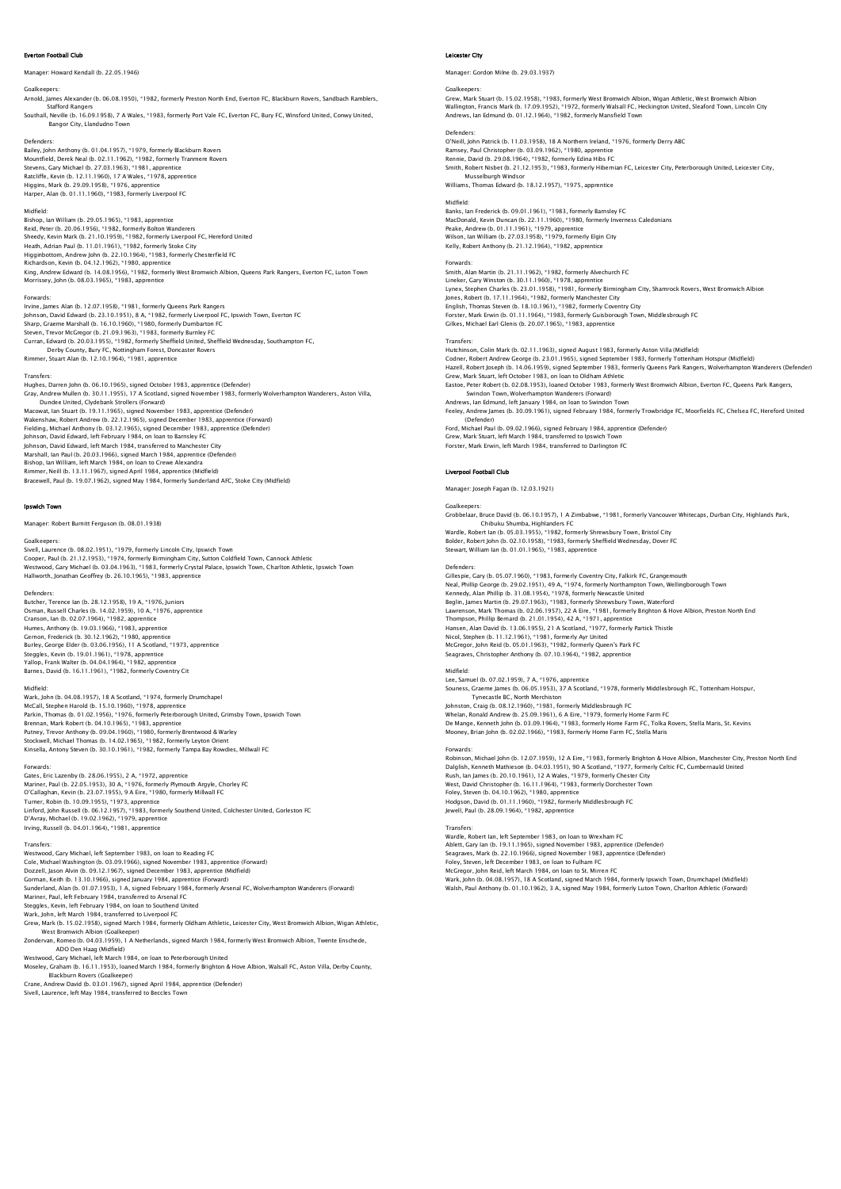# rton Football Club

# Manager: Howard Kendall (b. 22.05.1946)

Goalkeepers: Arnold, James Alexander (b. 06.08.1950), \*1982, formerly Preston North End, Everton FC, Blackburn Rovers, Sandbach Ramblers,

 Stafford Rangers Southall, Neville (b. 16.09.1958), 7 A Wales, \*1983, formerly Port Vale FC, Everton FC, Bury FC, Winsford United, Conwy United, Bangor City, Llandudno Town

### Defenders:

Bailey, John Anthony (b. 01.04.1957), \*1979, formerly Blackburn Rovers Mountfield, Derek Neal (b. 02.11.1962), \*1982, formerly Tranmere Rovers Stevens, Gary Michael (b. 27.03.1963), \*1981, apprentice Ratcliffe, Kevin (b. 12.11.1960), 17 A Wales, \*1978, apprentice Higgins, Mark (b. 29.09.1958), \*1976, apprentice Harper, Alan (b. 01.11.1960), \*1983, formerly Liverpool FC

## Midfield:

Bishop, Ian William (b. 29.05.1965), \*1983, apprentice Reid, Peter (b. 20.06.1956), \*1982, formerly Bolton Wanderers<br>Sheedy, Kevin Mark (b. 21.10.1959), \*1982, formerly Liverpool FC, Hereford United<br>Heath, Adrian Paul (b. 11.01.1961), \*1982, formerly Stoke City<br>Higginbottom, A Richardson, Kevin (b. 04.12.1962), \*1980, apprentice<br>King, Andrew Edward (b. 14.08.1956), \*1982, formerly West Bromwich Albion, Queens Park Rangers, Everton FC, Luton Town<br>Morrissey, John (b. 08.03.1965), \*1983, apprentice

### Forwards:

Irvine, James Alan (b. 12.07.1958), \*1981, formerly Queens Park Rangers<br>Johnson, David Edward (b. 23.10.1951), 8 A, \*1982, formerly Liverpool FC, Ipswich Town, Everton FC<br>Sharp, Graeme Marshall (b. 16.10.1960), \*1980, form Derby County, Bury FC, Nottingham Forest, Doncaster Rovers Rimmer, Stuart Alan (b. 12.10.1964), \*1981, apprentice

### Transfers:

Hughes, Darren John (b. 06.10.1965), signed October 1983, apprentice (Defender)<br>Gray, Andrew Mullen (b. 30.11.1955), 17 A Scotland, signed November 1983, formerly Wolverhampton Wanderers, Aston Villa, Dundee United, Clydebank Strollers (Forward) Macowat, Ian Stuart (b. 19.11.1965), signed November 1983, apprentice (Defender) Wakenshaw, Robert Andrew (b. 22.12.1965), signed December 1983, apprentice (Forward)<br>Fielding, Michael Anthony (b. 03.12.1965), signed December 1983, apprentice (Defender)<br>Johnson, David Edward, left February 1984, on loan Marshall, Ian Paul (b. 20.03.1966), signed March 1984, apprentice (Defender)<br>Bishop, Ian William, Ieft March 1984, on Ioan to Crewe Alexandra<br>Rimmer, Neill (b. 13.11.1967), signed April 1984, apprentice (Midfield)<br>Bracewel

### Ipswich Town

# Manager: Robert Burnitt Ferguson (b. 08.01.1938)

### Goalkeepers:

Sivell, Laurence (b. 08.02.1951), \*1979, formerly Lincoln City, Ipswich Town Cooper, Paul (b. 21.12.1953), \*1974, formerly Birmingham City, Sutton Coldfield Town, Cannock Athletic Westwood, Gary Michael (b. 03.04.1963), \*1983, formerly Crystal Palace, Ipswich Town, Charlton Athletic, Ipswich Town Hallworth, Jonathan Geoffrey (b. 26.10.1965), \*1983, apprentice

Defenders:<br>Butcher, Terence Ian (b. 28.12.1958), 19 A, \*1976, Juniors<br>Osman, Russell Charles (b. 14.02.1959), 10 A, \*1976, apprentice<br>Cranson, Ian (b. 02.07.1964), \*1982, apprentice<br>Humes, Anthony (b. 19.03.1966), \*1983, a Gemon, Frederick (b. 30.12.1962), \*1980, apprentice<br>Burley, George Elder (b. 03.06.1956), 11 A Scotland, \*1973, apprentice<br>Steggles, Kevin (b. 19.01.1961), \*1978, apprentice<br>Yallop, Frank Walter (b. 04.04.1964), \*1982, ap

## Midfield:

Wark, John (b. 04.08.1957), 18 A Scotland, \*1974, formerly Drumchapel<br>McCall, Stephen Harold (b. 15.10.1960), \*1978, apprentice<br>Parkin, Thomas (b. 01.02.1956), \*1976, formerly Peterborough United, Grimsby Town, Ipswich Tow Brennan, Mark Robert (b. 04.10.1965), \*1983, apprentice<br>Putney, Trevor Anthony (b. 09.04.1960), \*1980, formerly Brentwood & Warley<br>Stockwell, Michael Thomas (b. 14.02.1965), \*1982, formerly Leyton Orient<br>Kinsella, Antony S

### Forwards:

Gates, Eric Lazenby (b. 28.06.1955), 2 A, \*1972, apprentice<br>Mariner, Paul (b. 22.05.1953), 30 A, \*1976, formerly Plymouth Argyle, Chorley FC<br>O'Callaghan, (kevin (b. 23.07.1955), 9 A Eire, †1980, formerly Millwall FC<br>Turner Linford, John Russell (b. 06.12.1957), \*1983, formerly Southend United, Colchester United, Gorleston FC D'Avray, Michael (b. 19.02.1962), \*1979, apprentice Irving, Russell (b. 04.01.1964), \*1981, apprentice

## Transfers:

Westwood, Gary Michael, left September 1983, on loan to Reading FC Cole, Michael Washington (b. 03.09.1966), signed November 1983, apprentice (Forward)<br>Dozzell, Jason Alvin (b. 09.12.1967), signed December 1983, apprentice (Midfield)<br>Gorman, Keith (b. 13.10.1966), signed January 1984, app Mariner, Paul, left February 1984, transferred to Arsenal FC Steggles, Kevin, left February 1984, on Ioan to Southend United<br>Wark, John, left March 1984, transferred to Liverpool FC<br>Grew, Mark (b. 15.02.1958), signed March 1984, formerly Oldham Athletic, Leicester City, West Bromwic

Zondervan, Romeo (b. 04.03.1959), 1 A Netherlands, signed March 1984, formerly West Bromwich Albion, Twente Enschede,

ADO Den Haag (Midfield)

Westwood, Gary Michael, left March 1984, on Ioan to Peterborough United<br>Moseley, Graham (b. 16.11.1953), Joaned March 1984, formerly Brighton & Hove Albion, Walsall FC, Aston Villa, Derby County,<br>Blackburn Rovers (Goalkeep

Sivell, Laurence, left May 1984, transferred to Beccles Town

## Leicester City

Manager: Gordon Milne (b. 29.03.1937)

Goalkeepers:<br>Grew, Mark Stuart (b. 15.02.1958), \*1983, formerly West Bromwich Albion, Wigan Athletic, West Bromwich Albion<br>Wallington, Francis Mark (b. 17.09.1952), \*1972, formerly Walsall FC, Heckington United, Sleaford T

# Defenders:

O'Neill, John Patrick (b. 11.03.1958), 18 A Northern Ireland, \*1976, formerly Derry ABC<br>Ramsey, Paul Christopher (b. 03.09.1962), \*1980, apprentice<br>Rennie, David (b. 29.08.1964), \*1982, formerly Edina Hibs FC

Smith, Robert Nisbet (b. 21.12.1953), \*1983, formerly Hibernian FC, Leicester City, Peterborough United, Leicester City, Musselburgh Windsor Williams, Thomas Edward (b. 18.12.1957), \*1975, apprentice

### Midfield:

Banks, Ian Frederick (b. 09.01.1961), \*1983, formerly Barnsley FC MacDonald, Kevin Duncan (b. 22.11.1960), \*1980, formerly Inverness Caledonians Peake, Andrew (b. 01.11.1961), \*1979, apprentice Wilson, Ian William (b. 27.03.1958), \*1979, formerly Elgin City Kelly, Robert Anthony (b. 21.12.1964), \*1982, apprentice

### Forwards:

Smith, Alan Martin (b. 21.11.1962), \*1982, formerly Alvechurch FC Lineker, Gary Winston (b. 30.11.1960), \*1978, apprentice Lynex, Stephen Charles (b. 23.01.1958), \*1981, formerly Birmingham City, Shamrock Rovers, West Bromwich Albion Jones, Robert (b. 17.11.1964), \*1982, formerly Manchester City English, Thomas Steven (b. 18.10.1961), \*1982, formerly Coventry City Forster, Mark Erwin (b. 01.11.1964), \*1983, formerly Guisborough Town, Middlesbrough FC Gilkes, Michael Earl Glenis (b. 20.07.1965), \*1983, apprentice

# Transfers:

Hutchinson, Colin Mark (b. 02.11.1963), signed August 1983, formerly Aston Villa (Midfield) Codner, Robert Andrew George (b. 23.01.1965), signed September 1983, formerly Tottenham Hotspur (Midfield)<br>Hazell, Robert Joseph (b. 14.06.1959), signed September 1983, formerly Queens Park Rangers, Wolverhampton Wanderers Swindon Town, Wolverhampton Wanderers (Forward) Andrews, Ian Edmund, left January 1984, on loan to Swindon Town Feeley, Andrew James (b. 30.09.1961), signed February 1984, formerly Trowbridge FC, Moorfields FC, Chelsea FC, Hereford United (Defender) Ford, Michael Paul (b. 09.02.1966), signed February 1984, apprentice (Defender) Grew, Mark Stuart, left March 1984, transferred to Ipswich Town Forster, Mark Erwin, left March 1984, transferred to Darlington FC

# Liverpool Football Club

Manager: Joseph Fagan (b. 12.03.1921)

### Goalkeepers:

Grobbelaar, Bruce David (b. 06.10.1957), 1 A Zimbabwe, \*1981, formerly Vancouver Whitecaps, Durban City, Highlands Park, Chibuku Shumba, Highlanders FC Wardle, Robert Ian (b. 05.03.1955), \*1982, formerly Shrewsbury Town, Bristol City Bolder, Robert John (b. 02.10.1958), \*1983, formerly Sheffield Wednesday, Dover FC Stewart, William Ian (b. 01.01.1965), \*1983, apprentice

Defenders:<br>Cillespie, Cary (b. 05.07.1960), \*1983, formerly Coventry City, Falkirk FC, Grangemouth<br>Neal, Phillip George (b. 29.02.1951), 49 A, \*1974, formerly Northampton Town, Wellingborough Town<br>Kennedy, Alan Phillip (b. Hansen, Alan David (b. 13.06.1955), 21 A Scotland, \*1977, formerly Partick Thistle Nicol, Stephen (b. 11.12.1961), \*1981, formerly Ayr United McGregor, John Reid (b. 05.01.1963), \*1982, formerly Queen's Park FC Seagraves, Christopher Anthony (b. 07.10.1964), \*1982, apprentice

# Midfield:<br>Lee, Samuel (b. 07.02.1959), 7 A, \*1976, appro

Lee, Samuel (b. 07.02.1959), 7 A, \*1976, apprentice<br>Souness, Graeme James (b. 06.05.1953), 37 A Scotland, \*1978, formerly Middlesbrough FC, Tottenham Hotspur,<br>Johnston, Craiq (b. 08.12.1960), \*1981, formerly Middlesbrough

Whelan, Ronald Andrew (b. 25.09.1961), 6 A Eire, \*1979, formerly Home Farm FC De Mange, Kenneth John (b. 03.09.1964), \*1983, formerly Home Farm FC, Tolka Rovers, Stella Maris, St. Kevins<br>Mooney, Brian John (b. 02.02.1966), \*1983, formerly Home Farm FC, Stella Maris

# Forwards:

Robinson, Michael John (b. 12.07.1959), 12 A Eire, \*1983, formerly Brighton & Hove Albion, Manchester City, Preston North End Dalglish, Kenneth Mathieson (b. 04.03.1951), 90 A Scotland, \*1977, formerly Celtic FC, Cumbernauld United<br>Rush, Ian James (b. 20.10.1961), 12 A Wales, \*1979, formerly Chester City<br>West, David Christopher (b. 16.11.1964), \* Jewell, Paul (b. 28.09.1964), \*1982, apprentice

Transfers: Wardle, Robert Ian, left September 1983, on loan to Wrexham FC Ablett, Gary Ian (b. 19.11.1965), signed November 1983, apprentice (Defender) Seagraves, Mark (b. 22.10.1966), signed November 1983, apprentice (Defender) Foley, Steven, left December 1983, on loan to Fulham FC McGregor, John Reid, left March 1984, on Ioan to St. Mirren FC<br>Wark, John (b. 04.08.1957), 18 A Scotland, signed March 1984, formerly Ipswich Town, Drumchapel (Midfield<br>Walsh, Paul Anthony (b. 01.10.1962), 3 A, signed May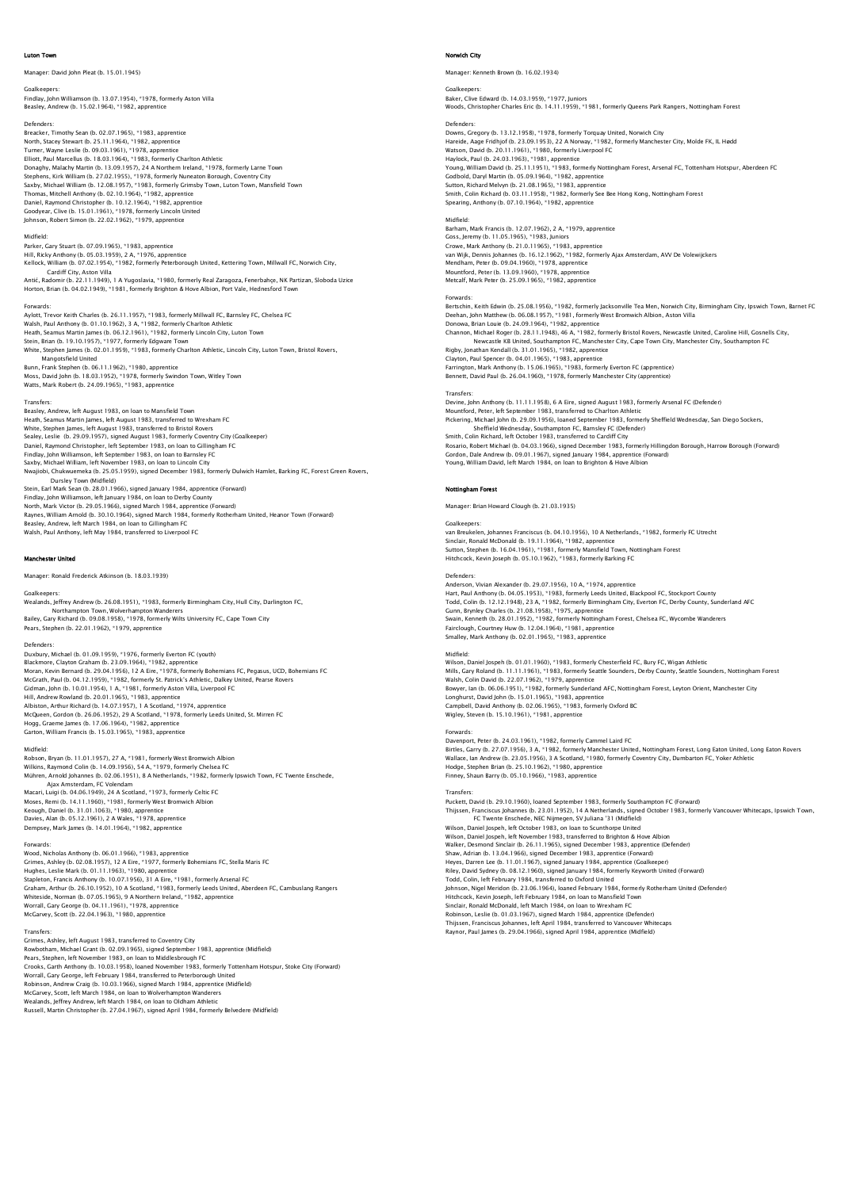### Luton Town

Manager: David John Pleat (b. 15.01.1945)

Goalkeepers: Findlay, John Williamson (b. 13.07.1954), \*1978, formerly Aston Villa Beasley, Andrew (b. 15.02.1964), \*1982, apprentice

Defenders: Breacker, Timothy Sean (b. 02.07.1965), \*1983, apprentice North, Stacey Stewart (b. 25.11.1964), \*1982, apprentice Turner, Wayne Leslie (b. 09.03.1961), \*1978, apprentice Elliott, Paul Marcellus (b. 18.03.1964), \*1983, formerly Charlton Athletic Donaghy, Malachy Martin (b. 13.09.1957), 24 A Northern Ireland, \*1978, formerly Larne Town Stephens, Kirk William (b. 27.02.1955), \*1978, formerly Nuneaton Borough, Coventry City<br>Saxby, Michael William (b. 12.08.1957), \*1983, formerly Grimsby Town, Luton Town, Mansfield Town<br>Thomas, Mitchell Anthony (b. 02.10.19 Goodyear, Clive (b. 15.01.1961), \*1978, formerly Lincoln United Johnson, Robert Simon (b. 22.02.1962), \*1979, apprentice

# Midfield:

Parker, Gary Stuart (b. 07.09.1965), \*1983, apprentice Hill, Ricky Anthony (b. 05.03.1959), 2 A, \*1976, apprentice Kellock, William (b. 07.02.1954), \*1982, formerly Peterborough United, Kettering Town, Millwall FC, Norwich City,

Cardiff City, Aston Villa<br>Antić, Radomir (b. 22.1 1.1949), 1 A Yugoslavia, \*1980, formerly Real Zaragoza, Fenerbahçe, NK Partizan, Sloboda Uzice<br>Horton, Brian (b. 04.02.1949), \*1981, formerly Brighton & Hove Albion, Port V

### **Forwards**

Aylott, Trevor Keith Charles (b. 26.11.1957), \*1983, formerly Millwall FC, Barnsley FC, Chelsea FC Walsh, Paul Anthony (b. 01.10.1962), 3 A, \*1982, formerly Charlton Athletic<br>Heath, Seamus Martin James (b. 06.12.1961), \*1982, formerly Lincoln City, Luton Town<br>Stein, Brian (b. 19.10.1957), \*1977, formerly Edgware Town<br>Wh Mangotsfield United<br>Bunn, Frank Stephen (b. 06.11.1962), \*1980, apprentice<br>Moss, David John (b. 18.03.1952), \*1978, formerly Swindon Town, Witley Town<br>Watts, Mark Robert (b. 24.09.1965), \*1983, apprentice

Transfers:<br>Beasley: Andrew: Jeft August 1983, on Joan to Mansfield Town Beasley, Andrew, left August 1983, on loan to Mansfield Town<br>Heath, Seamus Martin James, left August 1983, transferred to Wrexham FC<br>White, Stephen James, left August 1983, transferred to Bristol Rovers<br>Sealey, Leslie (b. Nwajiobi, Chukwuemeka (b. 25.05.1959), signed December 1983, formerly Dulwich Hamlet, Barking FC, Forest Green Rovers, Dursley Town (Midfield) Stein, Earl Mark Sean (b. 28.01.1966), signed January 1984, apprentice (Forward) Findlay, John Williamson, left January 1984, on loan to Derby County<br>North, Mark Victor (b. 29.05.1966), signed March 1984, apprentice (Forward)<br>Raynes, William Amold (b. 30.10.1964), signed March 1984, formerly Rotherham

### etar United

Manager: Ronald Frederick Atkinson (b. 18.03.1939)

### Goalkeepers:

Wealands, Jeffrey Andrew (b. 26.08.1951), \*1983, formerly Birmingham City, Hull City, Darlington FC, Northampton Town, Wolverhampton Wanderers Bailey, Gary Richard (b. 09.08.1958), \*1978, formerly Wilts University FC, Cape Town City Pears, Stephen (b. 22.01.1962), \*1979, apprentice

Defenders:<br>Duxbury, Michael (b. 01.09.1959), \*1976, formerly Everton FC (youth)<br>Blackmore, Clayton Graham (b. 23.09.1964), \*1982, apprentice<br>MoGrath, Paul (b. 04.12.1959), \*1980, 12.4 Eire, \*1978, formerly Bohemians FC, Pe Gidman, John (b. 10.01.1954), 1 A, \*1981, formerly Aston Villa, Liverpool FC<br>Hill, Andrew Rowland (b. 20.01.1965), \*1983, apprentice<br>Albiston, Arthur Richard (b. 14.07.1957), 1 A Scotland, \*1974, apprentice<br>McQueen, Gordon Hogg, Graeme James (b. 17.06.1964), \*1982, apprentice Garton, William Francis (b. 15.03.1965), \*1983, apprentice

Midfield: Robson, Bryan (b. 11.01.1957), 27 A, \*1981, formerly West Bromwich Albion Wilkins, Raymond Colin (b. 14.09.1956), 54 A, \*1979, formerly Chelsea FC<br>Mühren, Arnold Johannes (b. 02.06.1951), 8 A Netherlands, \*1982, formerly Ipswich Town, FC Twente Enschede,<br>Ajax Amsterdam, FC Volendam<br>Mases, Remi ( Keough, Daniel (b. 31.01.1063), \*1980, apprentice Davies, Alan (b. 05.12.1961), 2 A Wales, \*1978, apprentice Dempsey, Mark James (b. 14.01.1964), \*1982, apprentice

### Forwards:

Wood, Nicholas Anthony (b. 06.01.1966), \*1983, apprentice Grimes, Ashley (b. 02.08.1957), 12 A Eire, \*1977, formerly Bohemians FC, Stella Maris FC<br>Hughes, Leslie Mark (b. 01.11.1963), \*1980, apprentice<br>Stapleton, Francis Anthory (b. 10.07.1956), 31 A Eire, \*1981, formerly Arsenal Whiteside, Norman (b. 07.05.1965), 9 A Northern Ireland, \*1982, apprentice Worrall, Gary George (b. 04.11.1961), \*1978, apprentice McGarvey, Scott (b. 22.04.1963), \*1980, apprentice

Transfers:<br>Grimes, Ashley, left August 1983, transferred to Coventry City<br>Rowbotham, Michael Grant (b. 02.09.1965), signed September 1983, apprentice (Midfield)<br>Pears, Stephen, left November 1983, on loan to Middlesbrough McGarvey, Scott, left March 1984, on loan to Wolverhampton Wanderers Wealands, Jeffrey Andrew, left March 1984, on loan to Oldham Athletic Russell, Martin Christopher (b. 27.04.1967), signed April 1984, formerly Belvedere (Midfield)

### Norwich City

Manager: Kenneth Brown (b. 16.02.1934)

Goalkeepers: Baker, Clive Edward (b. 14.03.1959), \*1977, Juniors Woods, Christopher Charles Eric (b. 14.11.1959), \*1981, formerly Queens Park Rangers, Nottingham Forest Defenders:<br>Downs, Gregory (b. 13.12.1958), \*1978, formerly Torquay United, Norwich City<br>Hareide, Aage Fridhjof (b. 23.09.1953), 22 A Norway, \*1982, formerly Manchester City, Molde FK, IL Hødd<br>Watson, David (b. 20.11.1961), Godbold, Daryl Martin (b. 05.09.1964), \*1982, apprentice<br>Sutton, Richard Melvyn (b. 21.08.1965), \*1983, apprentice<br>Smith, Colin Richard (b. 03.11.1958), \*1982, formerly See Bee Hong Kong, Nottingham Forest<br>Spearing, Anthon

# Midfield:

Barham, Mark Francis (b. 12.07.1962), 2 A, \*1979, apprentice Goss, Jeremy (b. 11.05.1965), \*1983, Juniors<br>Crowe, Mark Anthony (b. 21.0.11965), \*1983, apprentice<br>van Wijk, Dennis Johannes (b. 16.12.1962), \*1982, formerly Ajax Amsterdam, AVV De Volewijckers Mendham, Peter (b. 09.04.1960), \*1978, apprentice Mountford, Peter (b. 13.09.1960), \*1978, apprentice Metcalf, Mark Peter (b. 25.09.1965), \*1982, appre

# Forwards:

Bertschin, Keith Edwin (b. 25.08.1956), \*1982, formerly Jacksonville Tea Men, Norwich City, Birmingham City, Ipswich Town, Barnet FC

Deehan, John Matthew (b. 06.08.1957), \*1981, formerly West Bromwich Albion, Aston Villa<br>Donowa, Brian Louie (b. 24.09.1964), \*1982, apprentice<br>Channon, Michael Roger (b. 28.11.1948), 46 A, \*1982, formerly Bristol Rovers, N

Clayton, Paul Spencer (b. 04.01.1965), \*1983, apprentice<br>Farrington, Mark Anthony (b. 15.06.1965), \*1983, formerly Everton FC (apprentice)<br>Bennett, David Paul (b. 26.04.1960), \*1978, formerly Manchester City (apprentice)

## **Transfers**

Devine, John Anthony (b. 11.11.1958), 6 A Eire, signed August 1983, formerly Arsenal FC (Defender)<br>Mountford, Peter, left September 1983, transferred to Charlton Athletic<br>Pickering, Michael John (b. 29.09.1956), loaned Sep Gordon, Dale Andrew (b. 09.01.1967), signed January 1984, apprentice (Forward) Young, William David, left March 1984, on loan to Brighton & Hove Albion

Nottingham Forest

Manager: Brian Howard Clough (b. 21.03.1935)

# Goalkeepers:

van Breukelen, Johannes Franciscus (b. 04.10.1956), 10 A Netherlands, \*1982, formerly FC Utrecht Sinclair, Ronald McDonald (b. 19.11.1964), \*1982, apprentice Sutton, Stephen (b. 16.04.1961), \*1981, formerly Mansfield Town, Nottingham Forest Hitchcock, Kevin Joseph (b. 05.10.1962), \*1983, formerly Barking FC

### Defenders:

Anderson, Vivian Alexander (b. 29.07.1956), 10 A, \*1974, apprentice Hart, Paul Anthony (b. 04.05.1953), \*1983, formerly Leeds United, Blackpool FC, Stockport County Todd, Colin (b. 12.12.1948), 23 A, \*1982, formerly Birmingham City, Everton FC, Derby County, Sunderland AFC<br>Gunn, Brynley Charles (b. 21.08.1958), \*1975, apprentice<br>Swain, Kenneth (b. 28.01.1952), \*1982, formerly Nottingh Smalley, Mark Anthony (b. 02.01.1965), \*1983, apprentice

Midfield:<br>Wilson, Daniel Jospeh (b. 01.01.1960), \*1983, formerly Chesterfield FC, Bury FC, Wigan Athletic<br>Mills, Gary Roland (b. 11.11.1961), \*1983, formerly Seattle Sounders, Derby County, Seattle Sounders, Nottingham For Longhurst, David John (b. 15.01.1965), \*1983, apprentice Campbell, David Anthony (b. 02.06.1965), \*1983, formerly Oxford BC Wigley, Steven (b. 15.10.1961), \*1981, apprentice

Forwards:<br>Davenport, Peter (b. 24.03.1961), \*1982, formerly Cammel Laird FC<br>Birtles, Carry (b. 27.07.1956), 3 A, \*1982, formerly Manchester United, Nottingham Forest, Long Eaton United, Long Eaton Rovers<br>Wallace, Iarn Andr

Transfers: Puckett, David (b. 29.10.1960), loaned September 1983, formerly Southampton FC (Forward) Thijssen, Franciscus Johannes (b. 23.01.1952), 14 A Netherlands, signed October 1983, formerly Vancouver Whitecaps, Ipswich Town,<br>Wilson, Daniel Jospeh, left October 1983, on Ioan to Scunthorpe United<br>Wilson, Daniel Jospeh Shaw, Adrian (b. 13.04.1966), signed December 1983, apprentice (Forward)<br>Heyes, Darren Lee (b. 11.01.1967), signed January 1984, apprentice (Goalkeeper)<br>Riley, David Sydney (b. 08.12.1960), signed January 1984, formerly Ke Hitchcock, Kevin Joseph, left February 1984, on loan to Mansfield Town Sinclair, Ronald McDonald, left March 1984, on Ioan to Wrexham FC<br>Robinson, Leslie (b. 01.03.1967), signed March 1984, apprentice (Defender)<br>Thijssen, Franciscus Johannes, left April 1984, transferred to Vancouver Whitecap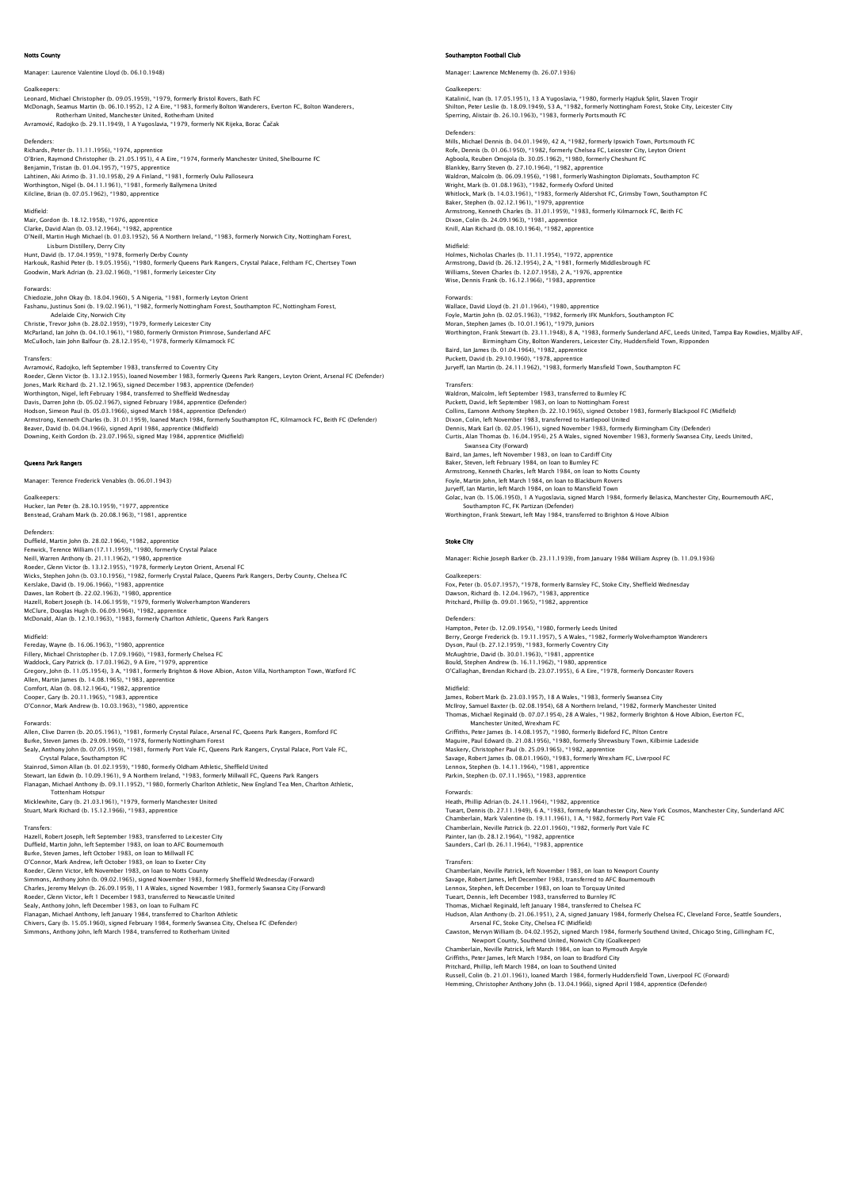# Notts County

Manager: Laurence Valentine Lloyd (b. 06.10.1948)

Goalkeepers:<br>Leonard, Michael Christopher (b. 09.05.1959), \*1979, formerly Bristol Rovers, Bath FC<br>McDonagh, Seamus Martin (b. 06.10.1952), 12 A Eire, \*1983, formerly Bolton Wanderers, Everton FC, Bolton Wanderers,<br>Avramov

Defenders:<br>Richards, Peter (b. 11.11.1956), \*1974, apprentice<br>O'Brien, Raymond Christopher (b. 21.05.1951), 4 A Eire, \*1974, formerly Manchester United, Shelbourne FC Benjamin, Tristan (b. 01.04.1957), \*1975, apprentice Lahtinen, Aki Arimo (b. 31.10.1958), 29 A Finland, \*1981, formerly Oulu Palloseura<br>Worthington, Nigel (b. 04.11.1961), \*1981, formerly Ballymena United<br>Kilcline, Brian (b. 07.05.1962), \*1980, apprentice

# Midfield:

Mair, Gordon (b. 18.12.1958), \*1976, apprentice Clarke, David Alan (b. 03.12.1964), \*1982, apprentice O'Neill, Martin Hugh Michael (b. 01.03.1952), 56 A Northern Ireland, \*1983, formerly Norwich City, Nottingham Forest,<br>Lisburn Distillery, Derry City<br>Hunt, David (b. 17.04.1959), \*1978, formerly Derby County

Harkouk, Rashid Peter (b. 19.05.1956), \*1980, formerly Queens Park Rangers, Crystal Palace, Feltham FC, Chertsey Town<br>Goodwin, Mark Adrian (b. 23.02.1960), \*1981, formerly Leicester City

Forwards:

Chiedozie, John Okay (b. 18.04.1960), 5 A Nigeria, \*1981, formerly Leyton Orient Fashanu, Justinus Soni (b. 19.02.1961), \*1982, formerly Nottingham Forest, Southampton FC, Nottingham Forest, Adelaide City, Norwich City<br>Christie, Trevor John (b. 28.02.1959), \*1979, formerly Leicester City<br>McParland, lan John (b. 04.10.1961), \*1980, formerly Ormiston Primrose, Sunderland AFC<br>McCulloch, lain John Balfour (b. 28.1

### Transfers:

Avramović, Radojko, left September 1983, transferred to Coventry City<br>Roeder, Glenn Victor (b. 13.12.1955), Ioaned November 1983, formerly Queens Park Rangers, Leyton Orient, Arsenal FC (Defender)<br>Jones, Mark Richard (b. 2 Worthington, Nigel, left February 1984, transferred to Sheffield Wednesday<br>Davis, Darren John (b. 05.02.1967), signed February 1984, apprentice (Defender)<br>Hodson, Simeon Paul (b. 05.03.1966), signed March 1984, apprentice

# Queens Park Rangers

Manager: Terence Frederick Venables (b. 06.01.1943)

Goalkeepers: Hucker, Ian Peter (b. 28.10.1959), \*1977, apprentice Benstead, Graham Mark (b. 20.08.1963), \*1981, apprentice

### Defender:

Duffield, Martin John (b. 28.02.1964), \*1982, apprentice Fenwick, Terence William (17.11.1959), \*1980, formerly Crystal Palace<br>Neill, Warren Anthony (b. 21.11.1962), \*1980, apprentice<br>Roeder, Glenn Victor (b. 13.1.2.1955), \*1978, formerly Leyton Orient, Arsenal FC<br>Wicks, Stephen Kerslake, David (b. 19.06.1966), \*1983, apprentice Dawes, Ian Robert (b. 22.02.1963), \*1980, apprentice Hazell, Robert Joseph (b. 14.06.1959), \*1979, formerly Wolverhampton Wanderers<br>McClure, Douglas Hugh (b. 06.09.1964), \*1982, apprentice<br>McDonald, Alan (b. 12.10.1963), \*1983, formerly Charlton Athletic, Queens Park Rangers

### Midfield:

Fereday, Wayne (b. 16.06.1963), \*1980, apprentice<br>Fillery, Michael Christopher (b. 17.09.1960), \*1983, formerly Chelsea FC<br>Waddock, Gary Patrick (b. 17.03.1962), 9 A Eire, \*1979, apprentice<br>Gregory, John (b. 11.05.1954), 3 Allen, Martin James (b. 14.08.1965), \*1983, apprentice Comfort, Alan (b. 08.12.1964), \*1982, apprentice Cooper, Gary (b. 20.11.1965), \*1983, apprentice O'Connor, Mark Andrew (b. 10.03.1963), \*1980, apprentice

Forwards:<br>Allen, Clive Darren (b. 20.05.1961), \*1981, formerly Crystal Palace, Arsenal FC, Queens Park Rangers, Romford FC<br>Burke, Steven James (b. 29.09.1960), \*1978, formerly Nottingham Forest<br>Sealy, Anthony John (b. 07.0 Crystal Palace, Southampton FC Stainrod, Simon Allan (b. 01.02.1959), \*1980, formerly Oldham Athletic, Sheffield United

Stewart, Ian Edwin (b. 10.09.1961), 9 A Northern Ireland, \*1983, formerly Millwall FC, Queens Park Rangers<br>Flanagan, Michael Anthony (b. 09.11.1952), \*1980, formerly Charlton Athletic, New England Tea Men, Charlton Athleti

# Stuart, Mark Richard (b. 15.12.1966), \*1983, apprentice

Transfers: Hazell, Robert Joseph, left September 1983, transferred to Leicester City Duffield, Martin John, left September 1983, on loan to AFC Bournemouth Burke, Steven James, left October 1983, on loan to Millwall FC O'Connor, Mark Andrew, left October 1983, on Ioan to Exeter City<br>Roeder, Glenn Victor, left November 1983, on Ioan to Notts County<br>Simmons, Anthony John (b. 09.02.1965), signed November 1983, formerly Sheffield Wednesday ( Roeder, Glenn Victor, left 1 December 1983, transferred to Newcastle United Sealy, Anthony John, left December 1983, on Ioan to Fulham FC<br>Flanagan, Michael Anthony, left January 1984, transferred to Charlton Athletic<br>Chivers, Gary (b. 15.05.1960), signed February 1984, formerly Swansea City, Chels

# ipton Football Club

Manager: Lawrence McMenemy (b. 26.07.1936)

Goalkeepers:<br>Katalinić, Ivan (b. 17.05.1951), 13 A Yugoslavia, \*1980, formerly Hajduk Split, Slaven Trogir<br>Shilton, Peter Leslie (b. 18.09.1949), 53 A, \*1982, formerly Nottingham Forest, Stoke City, Leicester City<br>Sperrinq

Defender:

Mills, Michael Dennis (b. 04.01.1949), 42 A, \*1982, formerly Ipswich Town, Portsmouth FC<br>Rofe, Dennis (b. 01.06.1950), \*1982, formerly Chelsea FC, Leicester City, Leyton Orient<br>Aqboola, Reuben Omojola (b. 30.05.1962), \*198 Blankley, Barry Steven (b. 27.10.1964), \*1982, apprentice Waldron, Malcolm (b. 06.09.1956), \*1981, formerly Washington Diplomats, Southampton FC<br>Wright, Mark (b. 01.08.1963), \*1982, formerly Oxford United<br>Whitlock, Mark (b. 14.03.1961), \*1983, formerly Aldershot FC, Grimsby Town, Dixon, Colin (b. 24.09.1963), \*1981, apprentice Knill, Alan Richard (b. 08.10.1964), \*1982, apprentice

# Midfield:

Holmes, Nicholas Charles (b. 11.11.1954), \*1972, apprentice Armstrong, David (b. 26.12.1954), 2 A, \*1981, formerly Middlesbrough FC<br>Williams, Steven Charles (b. 12.07.1958), 2 A, \*1976, apprentice<br>Wise, Dennis Frank (b. 16.12.1966), \*1983, apprentice

Forwards: Wallace, David Lloyd (b. 21.01.1964), \*1980, apprentice Foyle, Martin John (b. 02.05.1963), \*1982, formerly IFK Munkfors, Southampton FC Moran, Stephen James (b. 10.01.1961), \*1979, Juniors Worthington, Frank Stewart (b. 23.11.1948), 8 A, \*1983, formerly Sunderland AFC, Leeds United, Tampa Bay Rowdies, Mjällby AIF, Birmingham City, Bolton Wanderers, Leicester City, Huddersfield Town, Ripponder<br>Baird, lan James (b. 01.04.1964), \*1982, apprentice<br>Puckett, David (b. 29.10.1960), \*1978, apprentice<br>Juryeff, lan Martin (b. 24.11.1962), \*19 Transfers:

Waldron, Malcolm, left September 1983, transferred to Burnley FC Puckett, David, left September 1983, on loan to Nottingham Forest<br>Collins, Eamonn Anthony Stephen (b. 22.10.1965), isigned October 1983, formerly Blackpool FC (Midfield)<br>Dixon, Colin, left November 1983, transferred to Har Swansea City (Forward) Baird, Ian James, left November 1983, on loan to Cardiff City Baker, Steven, left February 1984, on Ioan to Burnley FC<br>Armstrong, Kenneth Charles, left March 1984, on Ioan to Notts County<br>Foyle, Martin John, left March 1984, on Ioan to Blackburn Rovers<br>Juryeff, Ian Martin, left March Golac, Ivan (b. 15.06.1950), 1 A Yugoslavia, signed March 1984, formerly Belasica, Manchester City, Bournemouth AFC, Southampton FC, FK Partizan (Defender) Worthington, Frank Stewart, left May 1984, transferred to Brighton & Hove Albion

## Stoke City

Manager: Richie Joseph Barker (b. 23.11.1939), from January 1984 William Asprey (b. 11.09.1936)

Goalkeepers: Fox, Peter (b. 05.07.1957), \*1978, formerly Barnsley FC, Stoke City, Sheffield Wednesday Dawson, Richard (b. 12.04.1967), \*1983, apprentice Pritchard, Phillip (b. 09.01.1965), \*1982, apprentice

### Defenders:

Hampton, Peter (b. 12.09.1954), \*1980, formerly Leeds United Berry, George Frederick (b. 19.11.1.1957), 5 A Wales, \*1982, formerly Wolverhampton Wanderers<br>Dyson, Paul (b. 27.12.1959), \*1983, formerly Coventry City<br>McAughtrie, David (b. 30.01.1963), \*1981, apprentice<br>Bould, Stephen A

Midfield:<br>James, Robert Mark (b. 23.03.1957), 18 A Wales, \*1983, formerly Swansea City<br>McIIroy, Samuel Baxter (b. 02.08.1954), 68 A Northern Ireland, \*1982, formerly Manchester United<br>Thomas, Michael Reginald (b. 07.07.195 Manchester United, Wrecham FC<br>Criffiths, Peter James (b. 14.08.1957), \*1980, formerly Bideford FC, Pilton Centre<br>Maguire, Paul Edward (b. 21.08.1956), \*1980, formerly Shrewsbury Town, Kilbirnie Ladeside<br>Maskery, Christophe

Lennox, Stephen (b. 14.11.1964), \*1981, apprentice Parkin, Stephen (b. 07.11.1965), \*1983, apprentice

Forwards: Heath, Phillip Adrian (b. 24.11.1964), \*1982, apprentice Tueart, Dennis (b. 27.1.1.1949), 6.4, \*1983, formerly Manchester City, New York Cosmos, Manchester City, Sunderland AFC<br>Chamberlain, Mark Valentine (b. 19.11.1961), 1 A, \*1982, formerly Port Vale FC<br>Chamberlain, Neville Pa Transfers:

Chamberlain, Neville Patrick, left November 1983, on loan to Newport County<br>Savage, Robert James, left December 1983, transferred to AFC Bournemouth<br>Lennox, Stephen, left December 1983, on loan to Torquay United Tueart, Dennis, left December 1983, transferred to Burnley FC Thomas, Michael Reginald, left January 1984, transferred to Chelsea FC<br>Hudson, Alan Anthony (b. 21.06.1951), 2 A, signed January 1984, formerly Chelsea FC, Cleveland Force, Seattle Sounders,<br>Arsenal FC, Stoke City, Chelsea Newport County, Southend United, Norwich City (Goalkeeper) Chamberlain, Neville Patrick, left March 1984, on loan to Plymouth Argyle

Griffiths, Peter James, left March 1984, on Ioan to Bradford City<br>Pritchard, Phillip, left March 1984, on Ioan to Southend United<br>Russell, Colin (b. 21.01.1961), Ioaned March 1984, formerly Huddersfield Town, Liverpool FC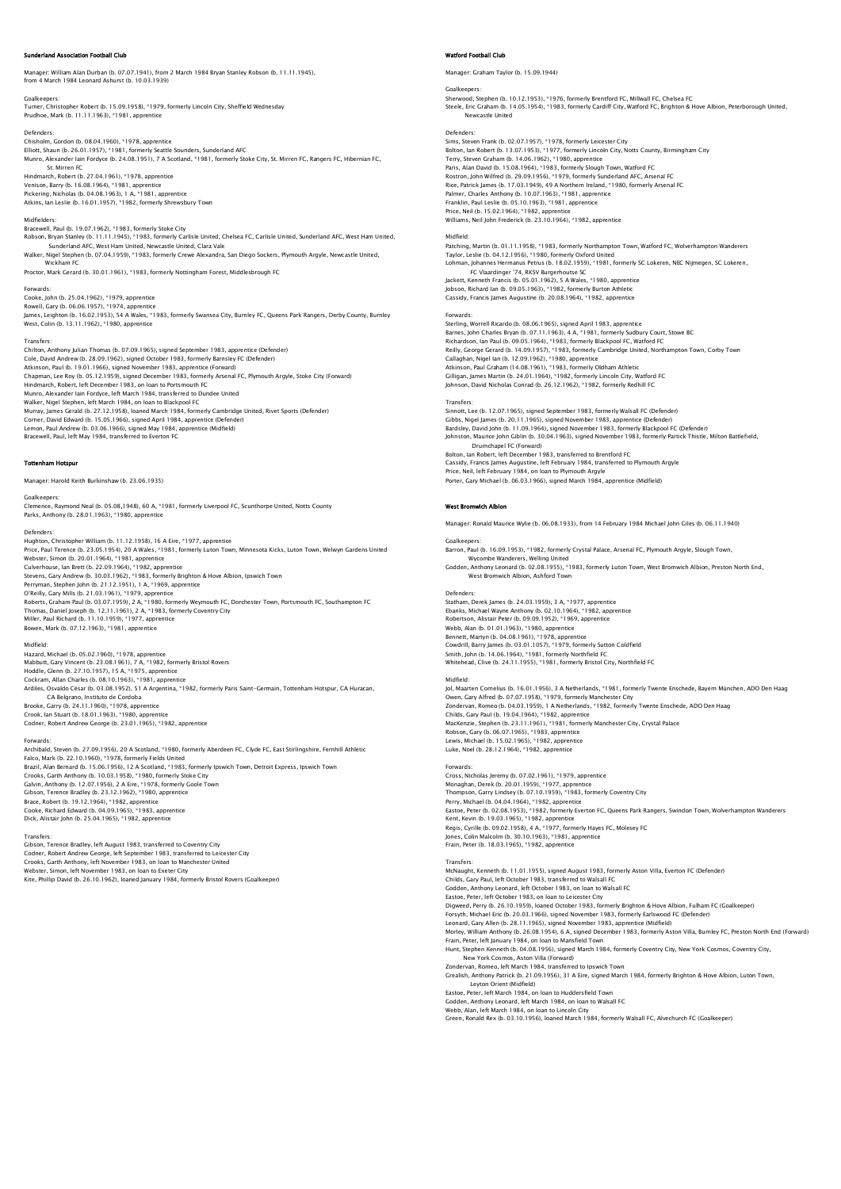# .<br>Sociation Football Club

Manager: William Alan Durban (b. 07.07.1941), from 2 March 1984 Bryan Stanley Robson (b. 11.11.1945), from 4 March 1984 Leonard Ashurst (b. 10.03.1939)

Goalkeepers: Turner, Christopher Robert (b. 15.09.1958), \*1979, formerly Lincoln City, Sheffield Wednesday Prudhoe, Mark (b. 11.11.1963), \*1981, apprentice

Defenders Chisholm, Gordon (b. 08.04.1960), \*1978, apprentice<br>Elliott, Shaun (b. 26.01.1957), \*1981, formerly Seattle Sounders, Sunderland AFC<br>Munro, Alexander Iain Fordyce (b. 24.08.1951), 7 A Scotland, \*1981, formerly Stoke City, St. Mirren FC Hindmarch, Robert (b. 27.04.1961), \*1978, apprentice

Venison, Barry (b. 16.08.1964), \*1981, apprentice<br>Pickering, Nicholas (b. 04.08.1963), 1 A, \*1981, apprentice<br>Atkins, Ian Leslie (b. 16.01.1957), \*1982, formerly Shrewsbury Town

### Midfielders:

Bracewell, Paul (b. 19.07.1962), \*1983, formerly Stoke City Robson, Bryan Stanley (b. 11.11.1945), \*1983, formerly Carlisle United, Chelsea FC, Carlisle United, Sunderland AFC, West Ham United,<br>Sunderland AFC, West Ham United, Newcastle United, Clara Vale

Walker, Nigel Stephen (b. 07.04.1959), \*1983, formerly Crewe Alexandra, San Diego Sockers, Plymouth Argyle, Newcastle United, Wickham FC

Proctor, Mark Gerard (b. 30.01.1961), \*1983, formerly Nottingham Forest, Middlesbrough FC

## Forwards:

Cooke, John (b. 25.04.1962), \*1979, apprentice Rowell, Gary (b. 06.06.1957), \*1974, apprentice James, Leighton (b. 16.02.1953), 54 A Wales, \*1983, formerly Swansea City, Burnley FC, Queens Park Rangers, Derby County, Burnley West, Colin (b. 13.11.1962), \*1980, apprentice

### **Transfers**

Chilton, Anthony Julian Thomas (b. 07.09.1965), signed September 1983, apprentice (Defender) Cole, David Andrew (b. 28.09.1962), signed October 1983, formerly Bamsley FC (Defender)<br>Atkinson, Paul (b. 19.01.1966), signed November 1983, apprentice (Forward)<br>Chapman, Lee Roy (b. 05.12.1959), signed December 1983, for Munro, Alexander Iain Fordyce, left March 1984, transferred to Dundee United Walker, Nigel Stephen, left March 1984, on loan to Blackpool FC Murray, James Gerald (b. 27.12.1958), loaned March 1984, formerly Cambridge United, Rivet Sports (Defender) Corner, David Edward (b. 15.05.1966), signed April 1984, apprentice (Defender)<br>Lemon, Paul Andrew (b. 03.06.1966), signed May 1984, apprentice (Midfield)<br>Bracewell, Paul, left May 1984, transferred to Everton FC

### Tottenham Hotspur

Manager: Harold Keith Burkinshaw (b. 23.06.1935)

Goalkeepers:

Clemence, Raymond Neal (b. 05.08.1948), 60 A, \*1981, formerly Liverpool FC, Scunthorpe United, Notts County Parks, Anthony (b. 28.01.1963), \*1980, apprentice

# Defenders:

Hughton, Christopher William (b. 11.12.1958), 16.4 Fire, \*1977, apprentice Price, Paul Terence (b. 23.05.1954), 20 A Wales, \*1981, formerly Luton Town, Minnesota Kicks, Luton Town, Welwyn Gardens United<br>Webster, Simon (b. 20.01.1964), \*1981, apprentice<br>Culverhouse, Ian Brett (b. 22.09.1962), \*198 Perryman, Stephen John (b. 21.12.1951), 1.4, \*1969, apprentice O'Reilly, Gary Mills (b. 21.03.1961), \*1979, apprentice Roberts, Graham Paul (b. 03.07.1959), 2 A, \*1980, formerly Weymouth FC, Dorchester Town, Portsmouth FC, Southampton FC<br>Thomas, Daniel Joseph (b. 12.11.1961), 2 A, \*1983, formerly Coventry City<br>Miller, Paul Richard (b. 11.1 Bowen, Mark (b. 07.12.1963), \*1981, apprentice

# Midfield:

Hazard, Michael (b. 05.02.1960), \*1978, apprentice Mabbutt, Gary Vincent (b. 23.08.1961), 7 A, \*1982, formerly Bristol Rovers Hoddle, Glenn (b. 27.10.1957), 15 A, \*1975, apprentice Cockram, Allan Charles (b. 08.10.1963), \*1981, apprentice Ardiles, Osvaldo César (b. 03.08.1952), 51 A Argentina, \*1982, formerly Paris Saint-Germain, Tottenham Hotspur, CA Huracan, CA Belgrano, Instituto de Cordoba Brooke, Garry (b. 24.11.1960), \*1978, apprentice Crook, Ian Stuart (b. 18.01.1963), \*1980, apprentice Codner, Robert Andrew George (b. 23.01.1965), \*1982, apprentice

Forwards:<br>Archibald, Steven (b. 27.09.1956), 20 A Scotland, \*1980, formerly Aberdeen FC, Clyde FC, East Stirlingshire, Fernhill Athletic<br>Falco, Mark (b. 22.10.1960), \*1978, formerly Fields United Brazil, Alan Bernard (b. 15.06.1956), 12 A Scotland, \*1983, formerly Ipswich Town, Detroit Express, Ipswich Town Crooks, Garth Anthony (b. 10.03.1958), \*1980, formerly Stoke City<br>Galvin, Anthony (b. 12.07.1956), 2 A Eire, \*1978, formerly Goole Town<br>Gibson, Terence Bradley (b. 23.12.1962), \*1980, apprentice<br>Brace, Robert (b. 19.12.196 Cooke, Richard Edward (b. 04.09.1965), \*1983, apprentice Dick, Alistair John (b. 25.04.1965), \*1982, apprentice

Transfers: Gibson, Terence Bradley, left August 1983, transferred to Coventry City

Codner, Robert Andrew George, left September 1983, transferred to Leicester City<br>Crooks, Garth Anthony, left November 1983, on loan to Manchester United<br>Webster, Simon, left November 1983, on loan to Exeter City<br>Kite, Phil

### Watford Football Club

Manager: Graham Taylor (b. 15.09.1944)

# Goalkeeper Sherwood, Stephen (b. 10.12.1953), \*1976, formerly Brentford FC, Millwall FC, Chelsea FC<br>Steele, Eric Graham (b. 14.05.1954), \*1983, formerly Cardiff City, Watford FC, Brighton & Hove Albion, Peterborough United,<br>- Newcast

## Defenders:

Sims, Steven Frank (b. 02.07.1957), \*1978, formerly Leicester City<br>Bolton, Ian Robert (b. 13.07.1953), \*1977, formerly Lincoln City, Notts County, Birmingham City<br>Terry, Steven Graham (b. 14.06.1962), \*1980, apprentice Paris, Alan David (b. 15.08.1964), \*1983, formerly Slough Town, Watford FC Rostron, John Wilfred (b. 29.09.1956), \*1979, formerly Sunderland AFC, Arsenal FC<br>Rice, Patrick James (b. 17.03.1949), 49 A Northern Ireland, \*1980, formerly Arsenal FC<br>Palmer, Charles Anthony (b. 10.07.1963), \*1981, appre Price, Neil (b. 15.02.1964), \*1982, apprentice Williams, Neil John Frederick (b. 23.10.1964), \*1982, apprentice Midfield:

Patching, Martin (b. 01.11.1958), \*1983, formerly Northampton Town, Watford FC, Wolverhampton Wanderers Taylor, Leslie (b. 04.12.1956), \*1980, formerly Oxford United Lohman, Johannes Hermanus Petrus (b. 18.02.1959), \*1981, formerly SC Lokeren, NEC Nijmegen, SC Lokeren,

 FC Vlaardinger '74, RKSV Burgerhoutse SC Jackett, Kenneth Francis (b. 05.01.1962), 5 A Wales, \*1980, apprentice Jobson, Richard Ian (b. 09.05.1963), \*1982, formerly Burton Athletic Cassidy, Francis James Augustine (b. 20.08.1964), \*1982, apprentice

Forwards:<br>Sterling, Worrell Ricardo (b. 08.06.1965), signed April 1983, apprentice<br>Barnes, John Charles Bryan (b. 07.11.1963), 4 A, \*1981, formerly Sudbury Court, Stowe BC<br>Richardson, Ian Paul (b. 09.05.1964), \*1983, forme

### Transfers:

Sinnott, Lee (b. 12.07.1965), signed September 1983, formerly Walsall FC (Defender) Gibbs, Nigel James (b. 20.11.1965), signed November 1983, apprentice (Defender)<br>Bardsley, David John (b. 11.09.1964), signed November 1983, formerly Blackpool FC (Defender)<br>Johnston, Maurice John Giblin (b. 30.04.1963), si Drumchapel FC (Forward) Bolton, Ian Robert, left December 1983, transferred to Brentford FC Cassidy, Francis James Augustine, left February 1984, transferred to Plymouth Argyle<br>Price, Neil, left February 1984, on loan to Plymouth Argyle<br>Porter, Gary Michael (b. 06.03.1966), signed March 1984, apprentice (Midfield

## West Bromwich Albion

Manager: Ronald Maurice Wylie (b. 06.08.1933), from 14 February 1984 Michael John Giles (b. 06.11.1940)

Goalkeeper Barron, Paul (b. 16.09.1953), \*1982, formerly Crystal Palace, Arsenal FC, Plymouth Argyle, Slough Town, Wycombe Wanderers, Welling United Godden, Anthony Leonard (b. 02.08.1955), \*1983, formerly Luton Town, West Bromwich Albion, Preston North End, West Bromwich Albion, Ashford Town

### Defenders:

Statham, Derek James (b. 24.03.1959), 3 A, \*1977, apprentice Ebanks, Michael Wayne Anthony (b. 02.10.1964), \*1982, apprentice Robertson, Alistair Peter (b. 09.09.1952), \*1969, apprentice Webb, Alan (b. 01.01.1963), \*1980, apprentice Bennett, Martyn (b. 04.08.1961), \*1978, apprentice<br>Cowdrill, Barry James (b. 03.01.1057), \*1979, formerly Sutton Coldfield<br>Smith, John (b. 14.06.1964), \*1981, formerly Northfield FC<br>Whitehead, Clive (b. 24.11.1955), \*1981,

### Midfield:

Jol, Maarten Cornelius (b. 16.01.1956), 3 A Netherlands, \*1981, formerly Twente Enschede, Bayern München, ADO Den Haag<br>Owen, Gary Alfred (b. 07.07.1958), \*1979, formerly Manchester City<br>Zondervan, Romeo (b. 04.03.1959), 1 MacKenzie, Stephen (b. 23.11.1961), \*1981, formerly Manchester City, Crystal Palace<br>Robson, Gary (b. 06.07.1965), \*1983, apprentice<br>Lewis, Michael (b. 15.02.1965), \*1982, apprentice<br>Luke, Noel (b. 28.12.1964), \*1982, appre

Forwards,<br>Cross, Nicholas Jeremy (b. 07.02.1961), \*1979, apprentice<br>Monaghan, Derek (b. 20.01.1959), \*1977, apprentice<br>Thompson, Garry Lindsey (b. 07.10.1959), \*1983, formerly Coventry City<br>Perry, Michael (b. 04.04.1964), Eastoe, Peter (b. 02.08.1953), \* 1982, formerly Everton FC, Queens Park Rangers, Swindon Town, Wolverhampton Wanderers<br>Kent, Kevin (b. 19.03.1965), \*1982, apprentice<br>Regis, Cyrille (b. 09.02.1958), 4 A, \*1977, formerly Hay

# Transfers:

McNaught, Kenneth (b. 11.01.1955), signed August 1983, formerly Aston Villa, Everton FC (Defender)<br>Childs, Cary Paul, left October 1983, transferred to Walsall FC<br>Godden, Anthony Leonard, left October 1983, on Ioan to Wals Eastoe, Peter, left October 1983, on loan to Leicester City Digweed, Perry (b. 26.10.1959), loaned October 1983, formerly Brighton & Hove Albion, Fulham FC (Goalkeeper)<br>Forsyth, Michael Eric (b. 20.03.1966), signed November 1983, formerly Earlswood FC (Defender)<br>Leonard, Gary Allen Frain, Peter, left January 1984, on loan to Mansfield Town Hunt, Stephen Kenneth (b. 04.08.1956), signed March 1984, formerly Coventry City, New York Cosmos, Coventry City,<br>New York Cosmos, Aston Villa (Forward)<br>Zondervan, Romeo, left March 1984, transferred to Ipswich Town<br>Greali Eastoe, Peter, left March 1984, on Ioan to Huddersfield Town<br>Godden, Anthony Leonard, left March 1984, on Ioan to Walsall FC<br>Webb, Alan, left March 1984, on Ioan to Lincoln City<br>Green, Ronald Rex (b. 03.10.1956), Ioaned Ma